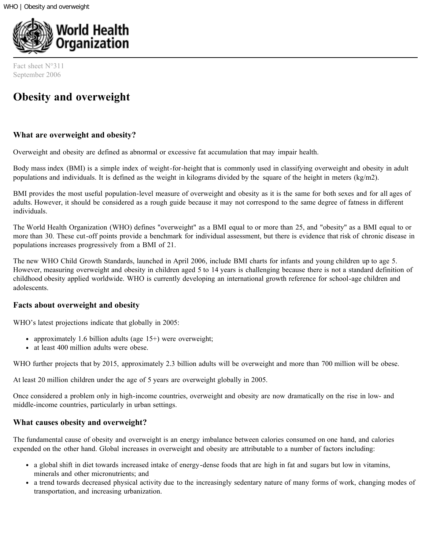

Fact sheet N°311 September 2006

# **Obesity and overweight**

## **What are overweight and obesity?**

Overweight and obesity are defined as abnormal or excessive fat accumulation that may impair health.

Body mass index (BMI) is a simple index of weight-for-height that is commonly used in classifying overweight and obesity in adult populations and individuals. It is defined as the weight in kilograms divided by the square of the height in meters (kg/m2).

BMI provides the most useful population-level measure of overweight and obesity as it is the same for both sexes and for all ages of adults. However, it should be considered as a rough guide because it may not correspond to the same degree of fatness in different individuals.

The World Health Organization (WHO) defines "overweight" as a BMI equal to or more than 25, and "obesity" as a BMI equal to or more than 30. These cut-off points provide a benchmark for individual assessment, but there is evidence that risk of chronic disease in populations increases progressively from a BMI of 21.

The new WHO Child Growth Standards, launched in April 2006, include BMI charts for infants and young children up to age 5. However, measuring overweight and obesity in children aged 5 to 14 years is challenging because there is not a standard definition of childhood obesity applied worldwide. WHO is currently developing an international growth reference for school-age children and adolescents.

## **Facts about overweight and obesity**

WHO's latest projections indicate that globally in 2005:

- approximately 1.6 billion adults (age 15+) were overweight;
- at least 400 million adults were obese.

WHO further projects that by 2015, approximately 2.3 billion adults will be overweight and more than 700 million will be obese.

At least 20 million children under the age of 5 years are overweight globally in 2005.

Once considered a problem only in high-income countries, overweight and obesity are now dramatically on the rise in low- and middle-income countries, particularly in urban settings.

## **What causes obesity and overweight?**

The fundamental cause of obesity and overweight is an energy imbalance between calories consumed on one hand, and calories expended on the other hand. Global increases in overweight and obesity are attributable to a number of factors including:

- a global shift in diet towards increased intake of energy-dense foods that are high in fat and sugars but low in vitamins, minerals and other micronutrients; and
- a trend towards decreased physical activity due to the increasingly sedentary nature of many forms of work, changing modes of transportation, and increasing urbanization.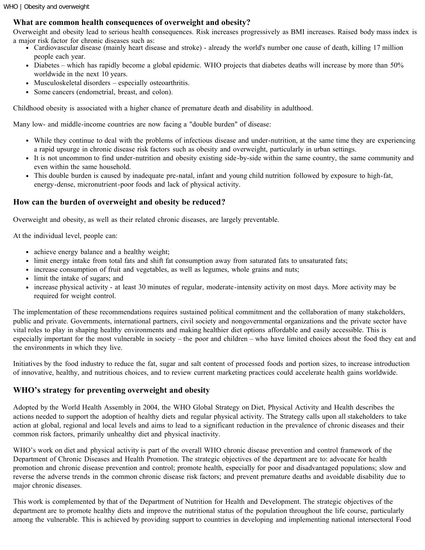## **What are common health consequences of overweight and obesity?**

Overweight and obesity lead to serious health consequences. Risk increases progressively as BMI increases. Raised body mass index is a major risk factor for chronic diseases such as:

- Cardiovascular disease (mainly heart disease and stroke) already the world's number one cause of death, killing 17 million people each year.
- Diabetes which has rapidly become a global epidemic. WHO projects that diabetes deaths will increase by more than 50% worldwide in the next 10 years.
- Musculoskeletal disorders especially osteoarthritis.
- Some cancers (endometrial, breast, and colon).

Childhood obesity is associated with a higher chance of premature death and disability in adulthood.

Many low- and middle-income countries are now facing a "double burden" of disease:

- While they continue to deal with the problems of infectious disease and under-nutrition, at the same time they are experiencing a rapid upsurge in chronic disease risk factors such as obesity and overweight, particularly in urban settings.
- It is not uncommon to find under-nutrition and obesity existing side-by-side within the same country, the same community and even within the same household.
- This double burden is caused by inadequate pre-natal, infant and young child nutrition followed by exposure to high-fat, energy-dense, micronutrient-poor foods and lack of physical activity.

# **How can the burden of overweight and obesity be reduced?**

Overweight and obesity, as well as their related chronic diseases, are largely preventable.

At the individual level, people can:

- achieve energy balance and a healthy weight;
- limit energy intake from total fats and shift fat consumption away from saturated fats to unsaturated fats;
- increase consumption of fruit and vegetables, as well as legumes, whole grains and nuts;
- limit the intake of sugars; and
- increase physical activity at least 30 minutes of regular, moderate-intensity activity on most days. More activity may be required for weight control.

The implementation of these recommendations requires sustained political commitment and the collaboration of many stakeholders, public and private. Governments, international partners, civil society and nongovernmental organizations and the private sector have vital roles to play in shaping healthy environments and making healthier diet options affordable and easily accessible. This is especially important for the most vulnerable in society – the poor and children – who have limited choices about the food they eat and the environments in which they live.

Initiatives by the food industry to reduce the fat, sugar and salt content of processed foods and portion sizes, to increase introduction of innovative, healthy, and nutritious choices, and to review current marketing practices could accelerate health gains worldwide.

# **WHO's strategy for preventing overweight and obesity**

Adopted by the World Health Assembly in 2004, the WHO Global Strategy on Diet, Physical Activity and Health describes the actions needed to support the adoption of healthy diets and regular physical activity. The Strategy calls upon all stakeholders to take action at global, regional and local levels and aims to lead to a significant reduction in the prevalence of chronic diseases and their common risk factors, primarily unhealthy diet and physical inactivity.

WHO's work on diet and physical activity is part of the overall WHO chronic disease prevention and control framework of the Department of Chronic Diseases and Health Promotion. The strategic objectives of the department are to: advocate for health promotion and chronic disease prevention and control; promote health, especially for poor and disadvantaged populations; slow and reverse the adverse trends in the common chronic disease risk factors; and prevent premature deaths and avoidable disability due to major chronic diseases.

This work is complemented by that of the Department of Nutrition for Health and Development. The strategic objectives of the department are to promote healthy diets and improve the nutritional status of the population throughout the life course, particularly among the vulnerable. This is achieved by providing support to countries in developing and implementing national intersectoral Food